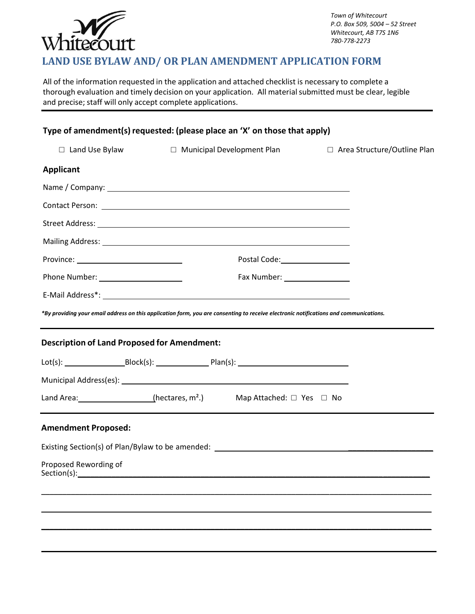

*Town of Whitecourt P.O. Box 509, 5004 – 52 Street Whitecourt, AB T7S 1N6 780-778-2273*

# **LAND USE BYLAW AND/ OR PLAN AMENDMENT APPLICATION FORM**

All of the information requested in the application and attached checklist is necessary to complete a thorough evaluation and timely decision on your application. All material submitted must be clear, legible and precise; staff will only accept complete applications.

| Type of amendment(s) requested: (please place an 'X' on those that apply)                                                             |                              |                                  |  |                               |
|---------------------------------------------------------------------------------------------------------------------------------------|------------------------------|----------------------------------|--|-------------------------------|
| $\Box$ Land Use Bylaw                                                                                                                 | □ Municipal Development Plan |                                  |  | □ Area Structure/Outline Plan |
| <b>Applicant</b>                                                                                                                      |                              |                                  |  |                               |
|                                                                                                                                       |                              |                                  |  |                               |
|                                                                                                                                       |                              |                                  |  |                               |
|                                                                                                                                       |                              |                                  |  |                               |
|                                                                                                                                       |                              |                                  |  |                               |
|                                                                                                                                       |                              |                                  |  |                               |
| Phone Number: ________________________                                                                                                |                              | Fax Number: ____________________ |  |                               |
|                                                                                                                                       |                              |                                  |  |                               |
| *By providing your email address on this application form, you are consenting to receive electronic notifications and communications. |                              |                                  |  |                               |
| <b>Description of Land Proposed for Amendment:</b>                                                                                    |                              |                                  |  |                               |
|                                                                                                                                       |                              |                                  |  |                               |
|                                                                                                                                       |                              |                                  |  |                               |
|                                                                                                                                       |                              |                                  |  |                               |
| <b>Amendment Proposed:</b>                                                                                                            |                              |                                  |  |                               |
|                                                                                                                                       |                              |                                  |  |                               |
| Proposed Rewording of<br>Section(s):                                                                                                  |                              |                                  |  |                               |
|                                                                                                                                       |                              |                                  |  |                               |
|                                                                                                                                       |                              |                                  |  |                               |
|                                                                                                                                       |                              |                                  |  |                               |
|                                                                                                                                       |                              |                                  |  |                               |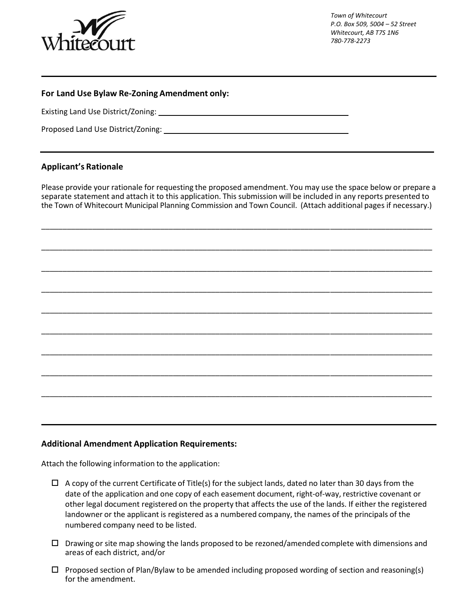

*Town of Whitecourt P.O. Box 509, 5004 – 52 Street Whitecourt, AB T7S 1N6 780-778-2273*

## **For Land Use Bylaw Re-Zoning Amendment only:**

Existing Land Use District/Zoning:

Proposed Land Use District/Zoning:

## **Applicant's Rationale**

Please provide your rationale for requesting the proposed amendment. You may use the space below or prepare a separate statement and attach it to this application. This submission will be included in any reports presented to the Town of Whitecourt Municipal Planning Commission and Town Council. (Attach additional pages if necessary.)

\_\_\_\_\_\_\_\_\_\_\_\_\_\_\_\_\_\_\_\_\_\_\_\_\_\_\_\_\_\_\_\_\_\_\_\_\_\_\_\_\_\_\_\_\_\_\_\_\_\_\_\_\_\_\_\_\_\_\_\_\_\_\_\_\_\_\_\_\_\_\_\_\_\_\_\_\_\_\_\_\_\_\_\_\_\_\_\_\_\_\_\_

\_\_\_\_\_\_\_\_\_\_\_\_\_\_\_\_\_\_\_\_\_\_\_\_\_\_\_\_\_\_\_\_\_\_\_\_\_\_\_\_\_\_\_\_\_\_\_\_\_\_\_\_\_\_\_\_\_\_\_\_\_\_\_\_\_\_\_\_\_\_\_\_\_\_\_\_\_\_\_\_\_\_\_\_\_\_\_\_\_\_\_\_

\_\_\_\_\_\_\_\_\_\_\_\_\_\_\_\_\_\_\_\_\_\_\_\_\_\_\_\_\_\_\_\_\_\_\_\_\_\_\_\_\_\_\_\_\_\_\_\_\_\_\_\_\_\_\_\_\_\_\_\_\_\_\_\_\_\_\_\_\_\_\_\_\_\_\_\_\_\_\_\_\_\_\_\_\_\_\_\_\_\_\_\_

\_\_\_\_\_\_\_\_\_\_\_\_\_\_\_\_\_\_\_\_\_\_\_\_\_\_\_\_\_\_\_\_\_\_\_\_\_\_\_\_\_\_\_\_\_\_\_\_\_\_\_\_\_\_\_\_\_\_\_\_\_\_\_\_\_\_\_\_\_\_\_\_\_\_\_\_\_\_\_\_\_\_\_\_\_\_\_\_\_\_\_\_

\_\_\_\_\_\_\_\_\_\_\_\_\_\_\_\_\_\_\_\_\_\_\_\_\_\_\_\_\_\_\_\_\_\_\_\_\_\_\_\_\_\_\_\_\_\_\_\_\_\_\_\_\_\_\_\_\_\_\_\_\_\_\_\_\_\_\_\_\_\_\_\_\_\_\_\_\_\_\_\_\_\_\_\_\_\_\_\_\_\_\_\_

\_\_\_\_\_\_\_\_\_\_\_\_\_\_\_\_\_\_\_\_\_\_\_\_\_\_\_\_\_\_\_\_\_\_\_\_\_\_\_\_\_\_\_\_\_\_\_\_\_\_\_\_\_\_\_\_\_\_\_\_\_\_\_\_\_\_\_\_\_\_\_\_\_\_\_\_\_\_\_\_\_\_\_\_\_\_\_\_\_\_\_\_

\_\_\_\_\_\_\_\_\_\_\_\_\_\_\_\_\_\_\_\_\_\_\_\_\_\_\_\_\_\_\_\_\_\_\_\_\_\_\_\_\_\_\_\_\_\_\_\_\_\_\_\_\_\_\_\_\_\_\_\_\_\_\_\_\_\_\_\_\_\_\_\_\_\_\_\_\_\_\_\_\_\_\_\_\_\_\_\_\_\_\_\_

\_\_\_\_\_\_\_\_\_\_\_\_\_\_\_\_\_\_\_\_\_\_\_\_\_\_\_\_\_\_\_\_\_\_\_\_\_\_\_\_\_\_\_\_\_\_\_\_\_\_\_\_\_\_\_\_\_\_\_\_\_\_\_\_\_\_\_\_\_\_\_\_\_\_\_\_\_\_\_\_\_\_\_\_\_\_\_\_\_\_\_\_

\_\_\_\_\_\_\_\_\_\_\_\_\_\_\_\_\_\_\_\_\_\_\_\_\_\_\_\_\_\_\_\_\_\_\_\_\_\_\_\_\_\_\_\_\_\_\_\_\_\_\_\_\_\_\_\_\_\_\_\_\_\_\_\_\_\_\_\_\_\_\_\_\_\_\_\_\_\_\_\_\_\_\_\_\_\_\_\_\_\_\_\_

#### **Additional Amendment Application Requirements:**

Attach the following information to the application:

- $\Box$  A copy of the current Certificate of Title(s) for the subject lands, dated no later than 30 days from the date of the application and one copy of each easement document, right-of-way, restrictive covenant or other legal document registered on the property that affects the use of the lands. If either the registered landowner or the applicant is registered as a numbered company, the names of the principals of the numbered company need to be listed.
- $\Box$  Drawing or site map showing the lands proposed to be rezoned/amended complete with dimensions and areas of each district, and/or
- $\Box$  Proposed section of Plan/Bylaw to be amended including proposed wording of section and reasoning(s) for the amendment.